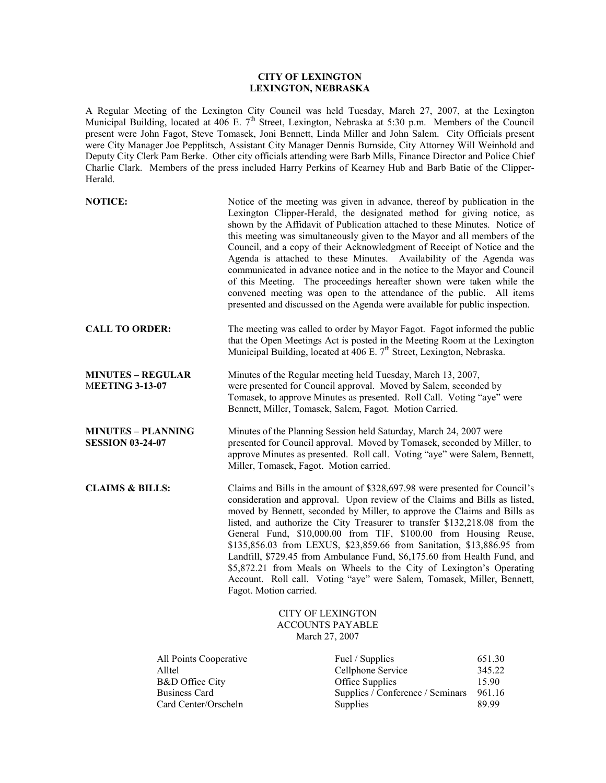## **CITY OF LEXINGTON LEXINGTON, NEBRASKA**

A Regular Meeting of the Lexington City Council was held Tuesday, March 27, 2007, at the Lexington Municipal Building, located at 406 E. 7<sup>th</sup> Street, Lexington, Nebraska at 5:30 p.m. Members of the Council present were John Fagot, Steve Tomasek, Joni Bennett, Linda Miller and John Salem. City Officials present were City Manager Joe Pepplitsch, Assistant City Manager Dennis Burnside, City Attorney Will Weinhold and Deputy City Clerk Pam Berke. Other city officials attending were Barb Mills, Finance Director and Police Chief Charlie Clark. Members of the press included Harry Perkins of Kearney Hub and Barb Batie of the Clipper- Herald.

| <b>NOTICE:</b>                                                                                                 |                                                                                                                                                                                                                                                                                                                                                                                                                                                                                                                                                                                                                                                                                                                           | Notice of the meeting was given in advance, thereof by publication in the<br>Lexington Clipper-Herald, the designated method for giving notice, as<br>shown by the Affidavit of Publication attached to these Minutes. Notice of<br>this meeting was simultaneously given to the Mayor and all members of the<br>Council, and a copy of their Acknowledgment of Receipt of Notice and the<br>Agenda is attached to these Minutes. Availability of the Agenda was<br>communicated in advance notice and in the notice to the Mayor and Council<br>of this Meeting. The proceedings hereafter shown were taken while the<br>convened meeting was open to the attendance of the public. All items<br>presented and discussed on the Agenda were available for public inspection. |                                              |
|----------------------------------------------------------------------------------------------------------------|---------------------------------------------------------------------------------------------------------------------------------------------------------------------------------------------------------------------------------------------------------------------------------------------------------------------------------------------------------------------------------------------------------------------------------------------------------------------------------------------------------------------------------------------------------------------------------------------------------------------------------------------------------------------------------------------------------------------------|-------------------------------------------------------------------------------------------------------------------------------------------------------------------------------------------------------------------------------------------------------------------------------------------------------------------------------------------------------------------------------------------------------------------------------------------------------------------------------------------------------------------------------------------------------------------------------------------------------------------------------------------------------------------------------------------------------------------------------------------------------------------------------|----------------------------------------------|
| <b>CALL TO ORDER:</b>                                                                                          |                                                                                                                                                                                                                                                                                                                                                                                                                                                                                                                                                                                                                                                                                                                           | The meeting was called to order by Mayor Fagot. Fagot informed the public<br>that the Open Meetings Act is posted in the Meeting Room at the Lexington<br>Municipal Building, located at 406 E. 7 <sup>th</sup> Street, Lexington, Nebraska.                                                                                                                                                                                                                                                                                                                                                                                                                                                                                                                                  |                                              |
| <b>MINUTES – REGULAR</b><br><b>MEETING 3-13-07</b>                                                             |                                                                                                                                                                                                                                                                                                                                                                                                                                                                                                                                                                                                                                                                                                                           | Minutes of the Regular meeting held Tuesday, March 13, 2007,<br>were presented for Council approval. Moved by Salem, seconded by<br>Tomasek, to approve Minutes as presented. Roll Call. Voting "aye" were<br>Bennett, Miller, Tomasek, Salem, Fagot. Motion Carried.                                                                                                                                                                                                                                                                                                                                                                                                                                                                                                         |                                              |
| <b>MINUTES – PLANNING</b><br><b>SESSION 03-24-07</b>                                                           | Minutes of the Planning Session held Saturday, March 24, 2007 were<br>presented for Council approval. Moved by Tomasek, seconded by Miller, to<br>approve Minutes as presented. Roll call. Voting "aye" were Salem, Bennett,<br>Miller, Tomasek, Fagot. Motion carried.                                                                                                                                                                                                                                                                                                                                                                                                                                                   |                                                                                                                                                                                                                                                                                                                                                                                                                                                                                                                                                                                                                                                                                                                                                                               |                                              |
| <b>CLAIMS &amp; BILLS:</b>                                                                                     | Claims and Bills in the amount of \$328,697.98 were presented for Council's<br>consideration and approval. Upon review of the Claims and Bills as listed,<br>moved by Bennett, seconded by Miller, to approve the Claims and Bills as<br>listed, and authorize the City Treasurer to transfer \$132,218.08 from the<br>General Fund, \$10,000.00 from TIF, \$100.00 from Housing Reuse,<br>\$135,856.03 from LEXUS, \$23,859.66 from Sanitation, \$13,886.95 from<br>Landfill, \$729.45 from Ambulance Fund, \$6,175.60 from Health Fund, and<br>\$5,872.21 from Meals on Wheels to the City of Lexington's Operating<br>Account. Roll call. Voting "aye" were Salem, Tomasek, Miller, Bennett,<br>Fagot. Motion carried. |                                                                                                                                                                                                                                                                                                                                                                                                                                                                                                                                                                                                                                                                                                                                                                               |                                              |
|                                                                                                                |                                                                                                                                                                                                                                                                                                                                                                                                                                                                                                                                                                                                                                                                                                                           | <b>CITY OF LEXINGTON</b><br><b>ACCOUNTS PAYABLE</b><br>March 27, 2007                                                                                                                                                                                                                                                                                                                                                                                                                                                                                                                                                                                                                                                                                                         |                                              |
| All Points Cooperative<br>Alltel<br><b>B&amp;D</b> Office City<br><b>Business Card</b><br>Card Center/Orscheln |                                                                                                                                                                                                                                                                                                                                                                                                                                                                                                                                                                                                                                                                                                                           | Fuel / Supplies<br>Cellphone Service<br>Office Supplies<br>Supplies / Conference / Seminars<br>Supplies                                                                                                                                                                                                                                                                                                                                                                                                                                                                                                                                                                                                                                                                       | 651.30<br>345.22<br>15.90<br>961.16<br>89.99 |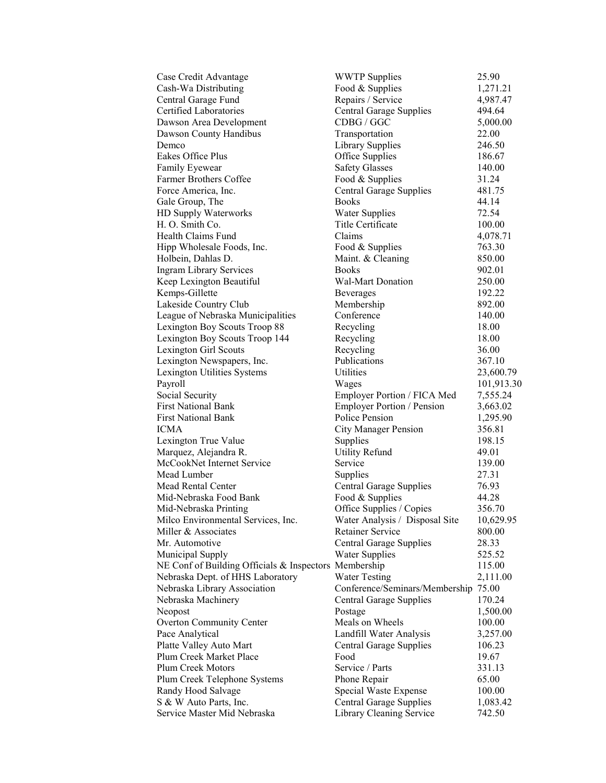| Case Credit Advantage                                 | <b>WWTP</b> Supplies                 | 25.90      |
|-------------------------------------------------------|--------------------------------------|------------|
| Cash-Wa Distributing                                  | Food & Supplies                      | 1,271.21   |
| Central Garage Fund                                   | Repairs / Service                    | 4,987.47   |
| Certified Laboratories                                | <b>Central Garage Supplies</b>       | 494.64     |
| Dawson Area Development                               | CDBG / GGC                           | 5,000.00   |
| Dawson County Handibus                                | Transportation                       | 22.00      |
| Demco                                                 | <b>Library Supplies</b>              | 246.50     |
| Eakes Office Plus                                     | Office Supplies                      | 186.67     |
| Family Eyewear                                        | <b>Safety Glasses</b>                | 140.00     |
| <b>Farmer Brothers Coffee</b>                         | Food & Supplies                      | 31.24      |
| Force America, Inc.                                   | <b>Central Garage Supplies</b>       | 481.75     |
| Gale Group, The                                       | <b>Books</b>                         | 44.14      |
| HD Supply Waterworks                                  | <b>Water Supplies</b>                | 72.54      |
| H. O. Smith Co.                                       | Title Certificate                    | 100.00     |
| Health Claims Fund                                    | Claims                               | 4,078.71   |
| Hipp Wholesale Foods, Inc.                            | Food & Supplies                      | 763.30     |
| Holbein, Dahlas D.                                    | Maint. & Cleaning                    | 850.00     |
| <b>Ingram Library Services</b>                        | <b>Books</b>                         | 902.01     |
| Keep Lexington Beautiful                              | <b>Wal-Mart Donation</b>             | 250.00     |
| Kemps-Gillette                                        | Beverages                            | 192.22     |
| Lakeside Country Club                                 | Membership                           | 892.00     |
| League of Nebraska Municipalities                     | Conference                           | 140.00     |
| Lexington Boy Scouts Troop 88                         | Recycling                            | 18.00      |
| Lexington Boy Scouts Troop 144                        | Recycling                            | 18.00      |
| <b>Lexington Girl Scouts</b>                          | Recycling                            | 36.00      |
| Lexington Newspapers, Inc.                            | Publications                         | 367.10     |
| Lexington Utilities Systems                           | Utilities                            | 23,600.79  |
| Payroll                                               | Wages                                | 101,913.30 |
| Social Security                                       | Employer Portion / FICA Med          | 7,555.24   |
| <b>First National Bank</b>                            | Employer Portion / Pension           | 3,663.02   |
| <b>First National Bank</b>                            | Police Pension                       | 1,295.90   |
| ICMA                                                  | <b>City Manager Pension</b>          | 356.81     |
| Lexington True Value                                  | Supplies                             | 198.15     |
| Marquez, Alejandra R.                                 | <b>Utility Refund</b>                | 49.01      |
| McCookNet Internet Service                            | Service                              | 139.00     |
| Mead Lumber                                           | Supplies                             | 27.31      |
| <b>Mead Rental Center</b>                             | <b>Central Garage Supplies</b>       | 76.93      |
| Mid-Nebraska Food Bank                                | Food & Supplies                      | 44.28      |
| Mid-Nebraska Printing                                 | Office Supplies / Copies             | 356.70     |
| Milco Environmental Services, Inc.                    | Water Analysis / Disposal Site       | 10,629.95  |
| Miller & Associates                                   | <b>Retainer Service</b>              | 800.00     |
| Mr. Automotive                                        | <b>Central Garage Supplies</b>       | 28.33      |
| Municipal Supply                                      | <b>Water Supplies</b>                | 525.52     |
| NE Conf of Building Officials & Inspectors Membership |                                      | 115.00     |
| Nebraska Dept. of HHS Laboratory                      | <b>Water Testing</b>                 | 2,111.00   |
| Nebraska Library Association                          | Conference/Seminars/Membership 75.00 |            |
| Nebraska Machinery                                    | <b>Central Garage Supplies</b>       | 170.24     |
| Neopost                                               | Postage                              | 1,500.00   |
| <b>Overton Community Center</b>                       | Meals on Wheels                      | 100.00     |
| Pace Analytical                                       | Landfill Water Analysis              | 3,257.00   |
| Platte Valley Auto Mart                               | Central Garage Supplies              | 106.23     |
| Plum Creek Market Place                               | Food                                 | 19.67      |
| Plum Creek Motors                                     | Service / Parts                      | 331.13     |
| Plum Creek Telephone Systems                          | Phone Repair                         | 65.00      |
| Randy Hood Salvage                                    | Special Waste Expense                | 100.00     |
| S & W Auto Parts, Inc.                                | Central Garage Supplies              | 1,083.42   |
| Service Master Mid Nebraska                           | Library Cleaning Service             | 742.50     |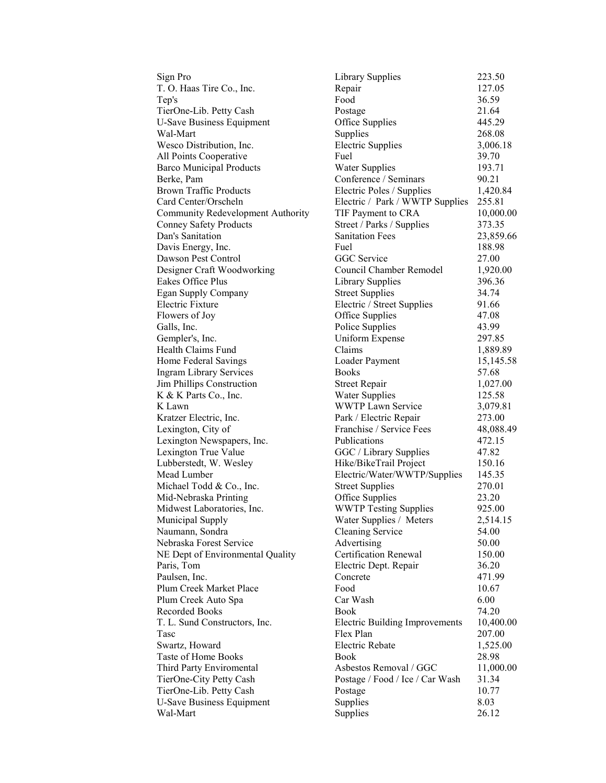T. O. Haas Tire Co., Inc. Repair Egan Supply Company Galls, Inc. Police Supplies Lubberstedt, W. Wesley

Sign Pro Library Supplies 223.50<br>
T. O. Haas Tire Co., Inc. Repair 227.05 Tep's Food 36.59 TierOne-Lib. Petty Cash Postage 21.64 U-Save Business Equipment Office Supplies 445.29 Wal-Mart Supplies 268.08 Wesco Distribution, Inc. Electric Supplies 3,006.18 All Points Cooperative Fuel Fuel 39.70 Barco Municipal Products Water Supplies 193.71 Berke, Pam Conference / Seminars 90.21 Brown Traffic Products Electric Poles / Supplies 1,420.84 Card Center/Orscheln Electric / Park / WWTP Supplies 255.81 Community Redevelopment Authority TIF Payment to CRA 10,000.00 Conney Safety Products Street / Parks / Supplies 373.35 Dan's Sanitation Sanitation Fees 23,859.66 Davis Energy, Inc. Fuel Fuel 188.98 Dawson Pest Control GGC Service 27.00 Designer Craft Woodworking Council Chamber Remodel 1,920.00 Eakes Office Plus **Library Supplies** 396.36<br>
Egan Supply Company Street Supplies 34.74 Electric Fixture Electric / Street Supplies 91.66 Flowers of Joy Complete Supplies 47.08<br>
Galls Inc. 23.99 Gempler's, Inc. Communication Uniform Expense 297.85 Health Claims Fund Claims Claims 1,889.89<br>
Home Federal Savings Claims Loader Payment 15.145.59 Home Federal Savings Loader Payment 15,145.58 Ingram Library Services Books 57.68 Jim Phillips Construction Street Repair 1,027.00 K & K Parts Co., Inc. Water Supplies 125.58 K Lawn Service 3,079.81 Kratzer Electric, Inc.<br>
Lexington, City of Franchise / Service Fees 48,088.49 Franchise / Service Fees Lexington Newspapers, Inc. Publications 472.15 Lexington True Value GGC / Library Supplies 47.82<br>
Lubberstedt, W. Wesley Hike/BikeTrail Project 150.16 Mead Lumber **Electric/Water/WWTP/Supplies** 145.35 Michael Todd & Co., Inc. Street Supplies 270.01 Mid-Nebraska Printing Office Supplies 23.20 Midwest Laboratories, Inc. WWTP Testing Supplies 925.00 Municipal Supply Water Supplies / Meters 2,514.15 Naumann, Sondra Cleaning Service 54.00 Nebraska Forest Service **Advertising** 50.00 NE Dept of Environmental Quality Certification Renewal 150.00<br>Paris, Tom Blectric Dept. Repair 36.20 Paris, Theorem Electric Dept. Repair 36.20 Paulsen, Inc. Concrete Concrete 471.99 Plum Creek Market Place Food Food 10.67<br>
Plum Creek Auto Spa Car Wash 6.00 Plum Creek Auto Spa Car Wash 6.00 Recorded Books Book **Book** 74.20 T. L. Sund Constructors, Inc. Electric Building Improvements 10,400.00 Tasc **Flex Plan 207.00** Swartz, Howard **Electric Rebate** 1,525.00 Taste of Home Books Book 28.98 Third Party Enviromental Asbestos Removal / GGC 11,000.00 TierOne-City Petty Cash Postage / Food / Ice / Car Wash 31.34 TierOne-Lib. Petty Cash Postage 10.77 U-Save Business Equipment Supplies 8.03 Wal-Mart 26.12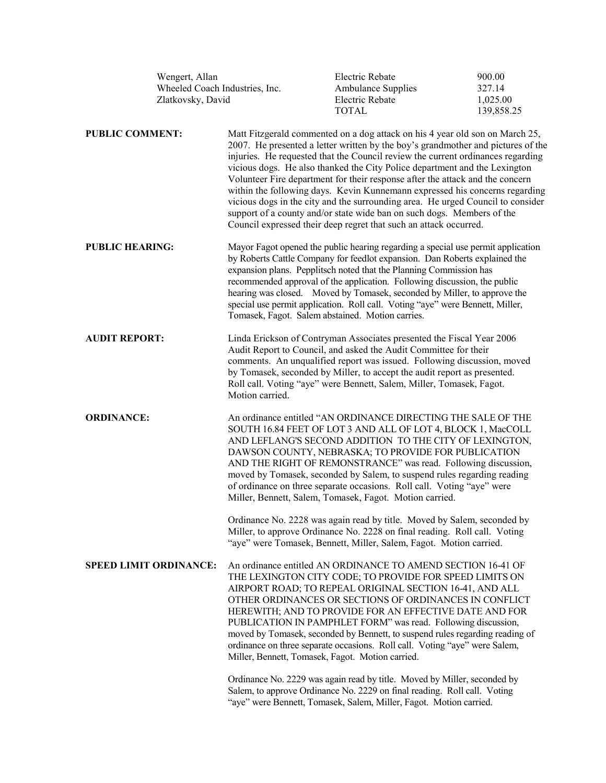|                               | Wengert, Allan<br>Wheeled Coach Industries, Inc.<br>Zlatkovsky, David |                                                                                                                                                                                                                                                                                                                                                                                                                                                                                                                                                                                                                                                                                                                                     | Electric Rebate<br><b>Ambulance Supplies</b><br>Electric Rebate<br><b>TOTAL</b>                                                                                                                                                                                                                                                                                                                                                                                                                                                                                                                                                                                                                                                                                 | 900.00<br>327.14<br>1,025.00<br>139,858.25 |
|-------------------------------|-----------------------------------------------------------------------|-------------------------------------------------------------------------------------------------------------------------------------------------------------------------------------------------------------------------------------------------------------------------------------------------------------------------------------------------------------------------------------------------------------------------------------------------------------------------------------------------------------------------------------------------------------------------------------------------------------------------------------------------------------------------------------------------------------------------------------|-----------------------------------------------------------------------------------------------------------------------------------------------------------------------------------------------------------------------------------------------------------------------------------------------------------------------------------------------------------------------------------------------------------------------------------------------------------------------------------------------------------------------------------------------------------------------------------------------------------------------------------------------------------------------------------------------------------------------------------------------------------------|--------------------------------------------|
| <b>PUBLIC COMMENT:</b>        |                                                                       | Matt Fitzgerald commented on a dog attack on his 4 year old son on March 25,<br>2007. He presented a letter written by the boy's grandmother and pictures of the<br>injuries. He requested that the Council review the current ordinances regarding<br>vicious dogs. He also thanked the City Police department and the Lexington<br>Volunteer Fire department for their response after the attack and the concern<br>within the following days. Kevin Kunnemann expressed his concerns regarding<br>vicious dogs in the city and the surrounding area. He urged Council to consider<br>support of a county and/or state wide ban on such dogs. Members of the<br>Council expressed their deep regret that such an attack occurred. |                                                                                                                                                                                                                                                                                                                                                                                                                                                                                                                                                                                                                                                                                                                                                                 |                                            |
| <b>PUBLIC HEARING:</b>        |                                                                       | Mayor Fagot opened the public hearing regarding a special use permit application<br>by Roberts Cattle Company for feedlot expansion. Dan Roberts explained the<br>expansion plans. Pepplitsch noted that the Planning Commission has<br>recommended approval of the application. Following discussion, the public<br>hearing was closed. Moved by Tomasek, seconded by Miller, to approve the<br>special use permit application. Roll call. Voting "aye" were Bennett, Miller,<br>Tomasek, Fagot. Salem abstained. Motion carries.                                                                                                                                                                                                  |                                                                                                                                                                                                                                                                                                                                                                                                                                                                                                                                                                                                                                                                                                                                                                 |                                            |
| <b>AUDIT REPORT:</b>          |                                                                       | Motion carried.                                                                                                                                                                                                                                                                                                                                                                                                                                                                                                                                                                                                                                                                                                                     | Linda Erickson of Contryman Associates presented the Fiscal Year 2006<br>Audit Report to Council, and asked the Audit Committee for their<br>comments. An unqualified report was issued. Following discussion, moved<br>by Tomasek, seconded by Miller, to accept the audit report as presented.<br>Roll call. Voting "aye" were Bennett, Salem, Miller, Tomasek, Fagot.                                                                                                                                                                                                                                                                                                                                                                                        |                                            |
| <b>ORDINANCE:</b>             |                                                                       |                                                                                                                                                                                                                                                                                                                                                                                                                                                                                                                                                                                                                                                                                                                                     | An ordinance entitled "AN ORDINANCE DIRECTING THE SALE OF THE<br>SOUTH 16.84 FEET OF LOT 3 AND ALL OF LOT 4, BLOCK 1, MacCOLL<br>AND LEFLANG'S SECOND ADDITION TO THE CITY OF LEXINGTON,<br>DAWSON COUNTY, NEBRASKA; TO PROVIDE FOR PUBLICATION<br>AND THE RIGHT OF REMONSTRANCE" was read. Following discussion,<br>moved by Tomasek, seconded by Salem, to suspend rules regarding reading<br>of ordinance on three separate occasions. Roll call. Voting "aye" were<br>Miller, Bennett, Salem, Tomasek, Fagot. Motion carried.<br>Ordinance No. 2228 was again read by title. Moved by Salem, seconded by<br>Miller, to approve Ordinance No. 2228 on final reading. Roll call. Voting<br>"aye" were Tomasek, Bennett, Miller, Salem, Fagot. Motion carried. |                                            |
| <b>SPEED LIMIT ORDINANCE:</b> |                                                                       | Miller, Bennett, Tomasek, Fagot. Motion carried.                                                                                                                                                                                                                                                                                                                                                                                                                                                                                                                                                                                                                                                                                    | An ordinance entitled AN ORDINANCE TO AMEND SECTION 16-41 OF<br>THE LEXINGTON CITY CODE; TO PROVIDE FOR SPEED LIMITS ON<br>AIRPORT ROAD; TO REPEAL ORIGINAL SECTION 16-41, AND ALL<br>OTHER ORDINANCES OR SECTIONS OF ORDINANCES IN CONFLICT<br>HEREWITH; AND TO PROVIDE FOR AN EFFECTIVE DATE AND FOR<br>PUBLICATION IN PAMPHLET FORM" was read. Following discussion,<br>moved by Tomasek, seconded by Bennett, to suspend rules regarding reading of<br>ordinance on three separate occasions. Roll call. Voting "aye" were Salem,                                                                                                                                                                                                                           |                                            |
|                               |                                                                       |                                                                                                                                                                                                                                                                                                                                                                                                                                                                                                                                                                                                                                                                                                                                     | Ordinance No. 2229 was again read by title. Moved by Miller, seconded by<br>Salem, to approve Ordinance No. 2229 on final reading. Roll call. Voting                                                                                                                                                                                                                                                                                                                                                                                                                                                                                                                                                                                                            |                                            |

"aye" were Bennett, Tomasek, Salem, Miller, Fagot. Motion carried.